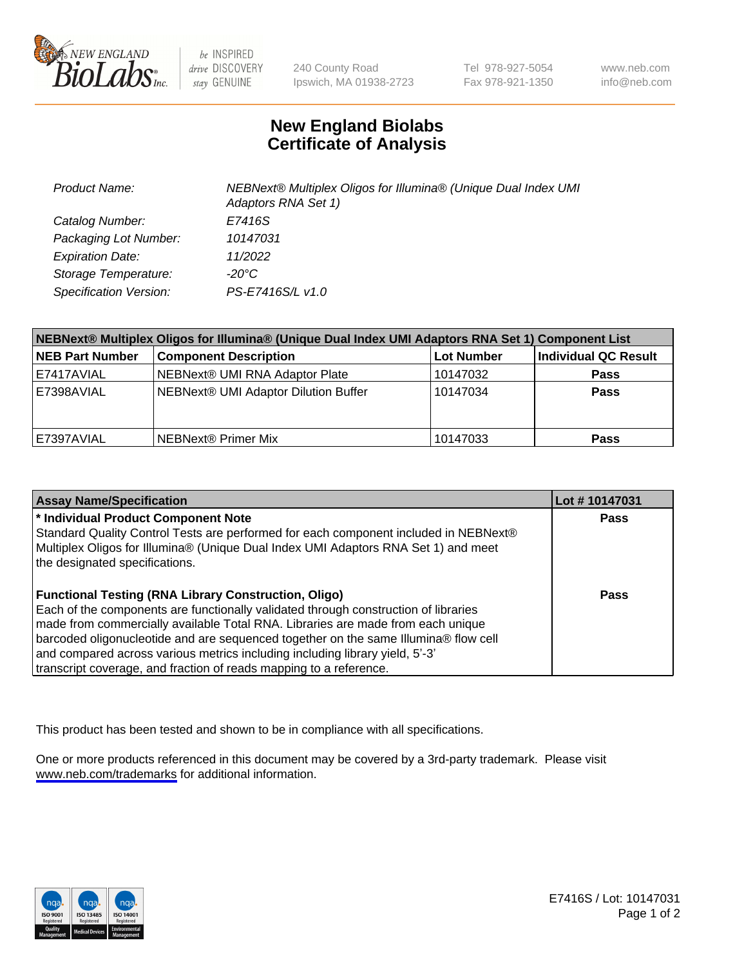

be INSPIRED drive DISCOVERY stay GENUINE

240 County Road Ipswich, MA 01938-2723 Tel 978-927-5054 Fax 978-921-1350

www.neb.com info@neb.com

## **New England Biolabs Certificate of Analysis**

| <b>Product Name:</b>    | NEBNext® Multiplex Oligos for Illumina® (Unique Dual Index UMI<br>Adaptors RNA Set 1) |
|-------------------------|---------------------------------------------------------------------------------------|
| Catalog Number:         | E7416S                                                                                |
| Packaging Lot Number:   | 10147031                                                                              |
| <b>Expiration Date:</b> | 11/2022                                                                               |
| Storage Temperature:    | -20°C                                                                                 |
| Specification Version:  | PS-E7416S/L v1.0                                                                      |

| NEBNext® Multiplex Oligos for Illumina® (Unique Dual Index UMI Adaptors RNA Set 1) Component List |                                      |            |                      |  |
|---------------------------------------------------------------------------------------------------|--------------------------------------|------------|----------------------|--|
| <b>NEB Part Number</b>                                                                            | <b>Component Description</b>         | Lot Number | Individual QC Result |  |
| E7417AVIAL                                                                                        | NEBNext® UMI RNA Adaptor Plate       | 10147032   | <b>Pass</b>          |  |
| E7398AVIAL                                                                                        | NEBNext® UMI Adaptor Dilution Buffer | 10147034   | <b>Pass</b>          |  |
| E7397AVIAL                                                                                        | NEBNext® Primer Mix                  | 10147033   | <b>Pass</b>          |  |

| <b>Assay Name/Specification</b>                                                                                      | Lot #10147031 |
|----------------------------------------------------------------------------------------------------------------------|---------------|
| * Individual Product Component Note                                                                                  | <b>Pass</b>   |
| Standard Quality Control Tests are performed for each component included in NEBNext®                                 |               |
| Multiplex Oligos for Illumina® (Unique Dual Index UMI Adaptors RNA Set 1) and meet<br>the designated specifications. |               |
|                                                                                                                      |               |
| <b>Functional Testing (RNA Library Construction, Oligo)</b>                                                          | Pass          |
| Each of the components are functionally validated through construction of libraries                                  |               |
| made from commercially available Total RNA. Libraries are made from each unique                                      |               |
| barcoded oligonucleotide and are sequenced together on the same Illumina® flow cell                                  |               |
| and compared across various metrics including including library yield, 5'-3'                                         |               |
| transcript coverage, and fraction of reads mapping to a reference.                                                   |               |

This product has been tested and shown to be in compliance with all specifications.

One or more products referenced in this document may be covered by a 3rd-party trademark. Please visit <www.neb.com/trademarks>for additional information.